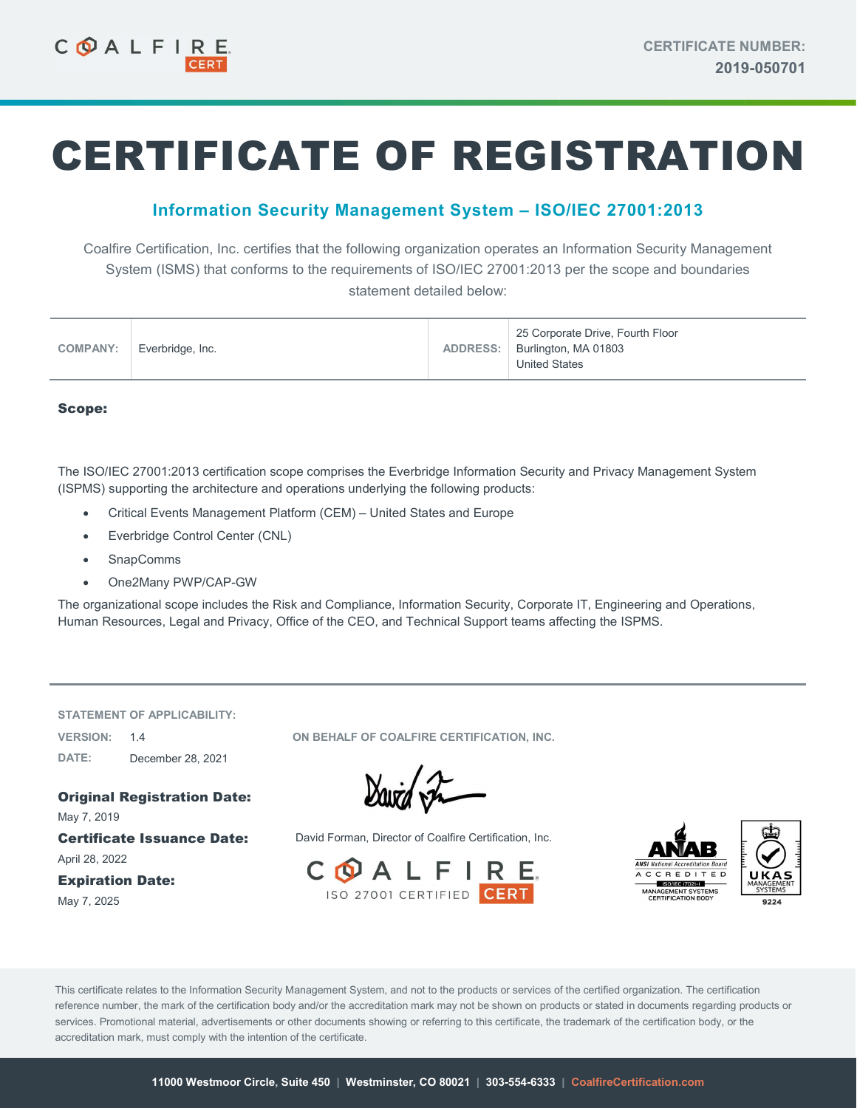# CERTIFICATE OF REGISTRATION

## Information Security Management System – ISO/IEC 27001:2013

Coalfire Certification, Inc. certifies that the following organization operates an Information Security Management System (ISMS) that conforms to the requirements of ISO/IEC 27001:2013 per the scope and boundaries statement detailed below:

| <b>COMPANY:</b> | Everbridge, Inc. |  | 25 Corporate Drive, Fourth Floor<br>ADDRESS:   Burlington, MA 01803<br><b>United States</b> |
|-----------------|------------------|--|---------------------------------------------------------------------------------------------|
|-----------------|------------------|--|---------------------------------------------------------------------------------------------|

#### Scope:

The ISO/IEC 27001:2013 certification scope comprises the Everbridge Information Security and Privacy Management System (ISPMS) supporting the architecture and operations underlying the following products:

- Critical Events Management Platform (CEM) United States and Europe
- Everbridge Control Center (CNL)
- SnapComms
- One2Many PWP/CAP-GW

The organizational scope includes the Risk and Compliance, Information Security, Corporate IT, Engineering and Operations, Human Resources, Legal and Privacy, Office of the CEO, and Technical Support teams affecting the ISPMS.

STATEMENT OF APPLICABILITY:

DATE: December 28, 2021

Original Registration Date: May 7, 2019 April 28, 2022

Expiration Date: May 7, 2025

VERSION: 1.4 ON BEHALF OF COALFIRE CERTIFICATION, INC.

David the

Certificate Issuance Date: David Forman, Director of Coalfire Certification, Inc.





This certificate relates to the Information Security Management System, and not to the products or services of the certified organization. The certification reference number, the mark of the certification body and/or the accreditation mark may not be shown on products or stated in documents regarding products or services. Promotional material, advertisements or other documents showing or referring to this certificate, the trademark of the certification body, or the accreditation mark, must comply with the intention of the certificate.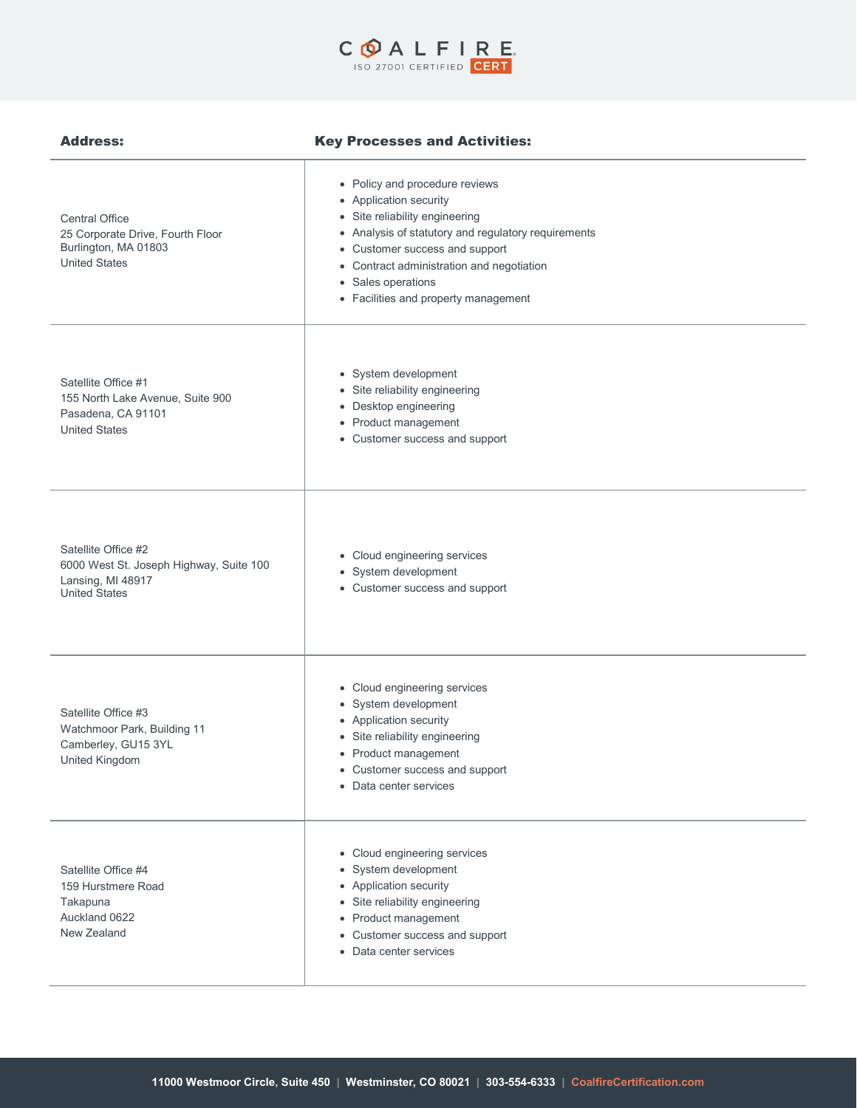

### Address: Key Processes and Activities:

| <b>Central Office</b><br>25 Corporate Drive, Fourth Floor<br>Burlington, MA 01803<br><b>United States</b>   | • Policy and procedure reviews<br>• Application security<br>• Site reliability engineering<br>• Analysis of statutory and regulatory requirements<br>• Customer success and support<br>• Contract administration and negotiation<br>• Sales operations<br>• Facilities and property management |
|-------------------------------------------------------------------------------------------------------------|------------------------------------------------------------------------------------------------------------------------------------------------------------------------------------------------------------------------------------------------------------------------------------------------|
| Satellite Office #1<br>155 North Lake Avenue, Suite 900<br>Pasadena, CA 91101<br><b>United States</b>       | • System development<br>• Site reliability engineering<br>• Desktop engineering<br>• Product management<br>• Customer success and support                                                                                                                                                      |
| Satellite Office #2<br>6000 West St. Joseph Highway, Suite 100<br>Lansing, MI 48917<br><b>United States</b> | • Cloud engineering services<br>• System development<br>• Customer success and support                                                                                                                                                                                                         |
| Satellite Office #3<br>Watchmoor Park, Building 11<br>Camberley, GU15 3YL<br>United Kingdom                 | • Cloud engineering services<br>• System development<br>• Application security<br>• Site reliability engineering<br>• Product management<br>• Customer success and support<br>• Data center services                                                                                           |
| Satellite Office #4<br>159 Hurstmere Road<br>Takapuna<br>Auckland 0622<br>New Zealand                       | • Cloud engineering services<br>• System development<br>• Application security<br>• Site reliability engineering<br>• Product management<br>• Customer success and support<br>• Data center services                                                                                           |